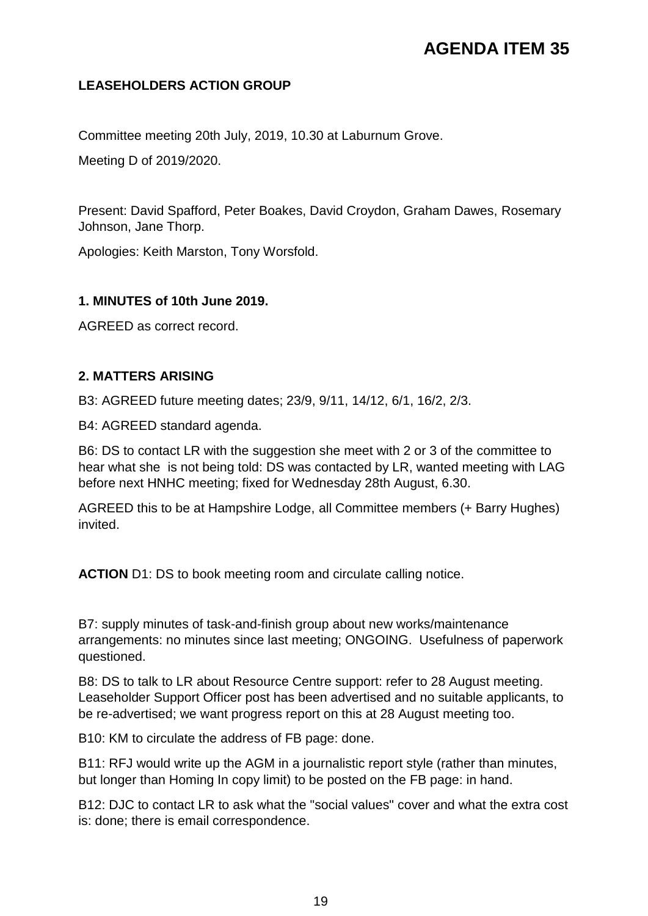## **AGENDA ITEM 35**

## **LEASEHOLDERS ACTION GROUP**

Committee meeting 20th July, 2019, 10.30 at Laburnum Grove.

Meeting D of 2019/2020.

Present: David Spafford, Peter Boakes, David Croydon, Graham Dawes, Rosemary Johnson, Jane Thorp.

Apologies: Keith Marston, Tony Worsfold.

#### **1. MINUTES of 10th June 2019.**

AGREED as correct record.

## **2. MATTERS ARISING**

B3: AGREED future meeting dates; 23/9, 9/11, 14/12, 6/1, 16/2, 2/3.

B4: AGREED standard agenda.

B6: DS to contact LR with the suggestion she meet with 2 or 3 of the committee to hear what she is not being told: DS was contacted by LR, wanted meeting with LAG before next HNHC meeting; fixed for Wednesday 28th August, 6.30.

AGREED this to be at Hampshire Lodge, all Committee members (+ Barry Hughes) invited.

**ACTION** D1: DS to book meeting room and circulate calling notice.

B7: supply minutes of task-and-finish group about new works/maintenance arrangements: no minutes since last meeting; ONGOING. Usefulness of paperwork questioned.

B8: DS to talk to LR about Resource Centre support: refer to 28 August meeting. Leaseholder Support Officer post has been advertised and no suitable applicants, to be re-advertised; we want progress report on this at 28 August meeting too.

B10: KM to circulate the address of FB page: done.

B11: RFJ would write up the AGM in a journalistic report style (rather than minutes, but longer than Homing In copy limit) to be posted on the FB page: in hand.

B12: DJC to contact LR to ask what the "social values" cover and what the extra cost is: done; there is email correspondence.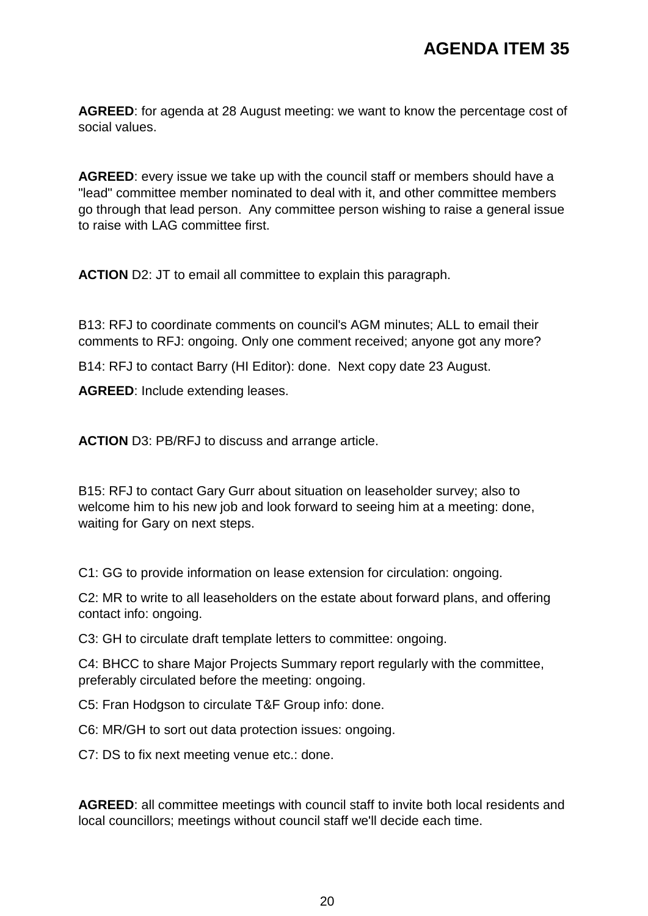**AGREED**: for agenda at 28 August meeting: we want to know the percentage cost of social values.

**AGREED**: every issue we take up with the council staff or members should have a "lead" committee member nominated to deal with it, and other committee members go through that lead person. Any committee person wishing to raise a general issue to raise with LAG committee first.

**ACTION** D2: JT to email all committee to explain this paragraph.

B13: RFJ to coordinate comments on council's AGM minutes; ALL to email their comments to RFJ: ongoing. Only one comment received; anyone got any more?

B14: RFJ to contact Barry (HI Editor): done. Next copy date 23 August.

**AGREED**: Include extending leases.

**ACTION** D3: PB/RFJ to discuss and arrange article.

B15: RFJ to contact Gary Gurr about situation on leaseholder survey; also to welcome him to his new job and look forward to seeing him at a meeting: done, waiting for Gary on next steps.

C1: GG to provide information on lease extension for circulation: ongoing.

C2: MR to write to all leaseholders on the estate about forward plans, and offering contact info: ongoing.

C3: GH to circulate draft template letters to committee: ongoing.

C4: BHCC to share Major Projects Summary report regularly with the committee, preferably circulated before the meeting: ongoing.

C5: Fran Hodgson to circulate T&F Group info: done.

C6: MR/GH to sort out data protection issues: ongoing.

C7: DS to fix next meeting venue etc.: done.

**AGREED**: all committee meetings with council staff to invite both local residents and local councillors; meetings without council staff we'll decide each time.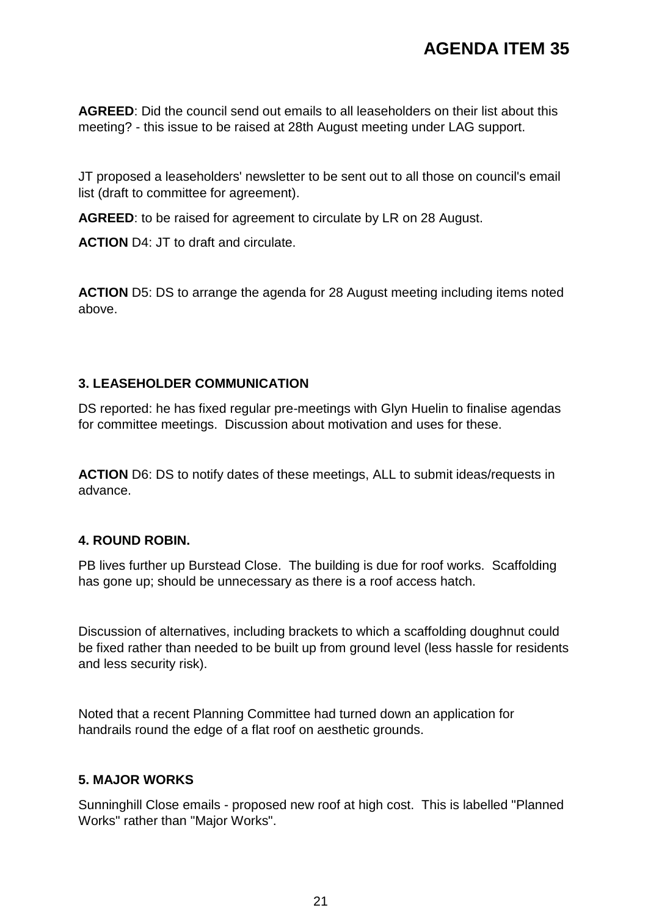**AGREED**: Did the council send out emails to all leaseholders on their list about this meeting? - this issue to be raised at 28th August meeting under LAG support.

JT proposed a leaseholders' newsletter to be sent out to all those on council's email list (draft to committee for agreement).

**AGREED**: to be raised for agreement to circulate by LR on 28 August.

**ACTION** D4: JT to draft and circulate.

**ACTION** D5: DS to arrange the agenda for 28 August meeting including items noted above.

## **3. LEASEHOLDER COMMUNICATION**

DS reported: he has fixed regular pre-meetings with Glyn Huelin to finalise agendas for committee meetings. Discussion about motivation and uses for these.

**ACTION** D6: DS to notify dates of these meetings, ALL to submit ideas/requests in advance.

## **4. ROUND ROBIN.**

PB lives further up Burstead Close. The building is due for roof works. Scaffolding has gone up; should be unnecessary as there is a roof access hatch.

Discussion of alternatives, including brackets to which a scaffolding doughnut could be fixed rather than needed to be built up from ground level (less hassle for residents and less security risk).

Noted that a recent Planning Committee had turned down an application for handrails round the edge of a flat roof on aesthetic grounds.

## **5. MAJOR WORKS**

Sunninghill Close emails - proposed new roof at high cost. This is labelled "Planned Works" rather than "Major Works".